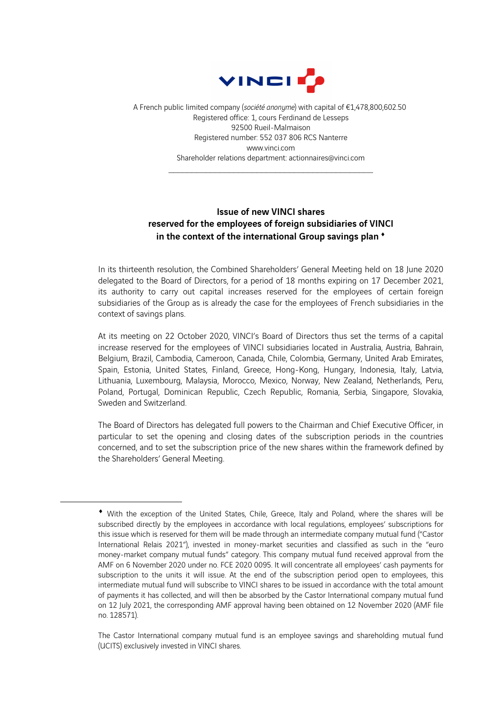

A French public limited company (*société anonyme*) with capital of €1,478,800,602.50 Registered office: 1, cours Ferdinand de Lesseps 92500 Rueil-Malmaison Registered number: 552 037 806 RCS Nanterre www.vinci.com Shareholder relations department: actionnaires@vinci.com

 $\mathcal{L}_\text{max}$  and the contract of the contract of the contract of the contract of the contract of the contract of the contract of the contract of the contract of the contract of the contract of the contract of the contrac

## Issue of new VINCI shares reserved for the employees of foreign subsidiaries of VINCI in the context of the international Group savings plan <sup>\*</sup>

In its thirteenth resolution, the Combined Shareholders' General Meeting held on 18 June 2020 delegated to the Board of Directors, for a period of 18 months expiring on 17 December 2021, its authority to carry out capital increases reserved for the employees of certain foreign subsidiaries of the Group as is already the case for the employees of French subsidiaries in the context of savings plans.

At its meeting on 22 October 2020, VINCI's Board of Directors thus set the terms of a capital increase reserved for the employees of VINCI subsidiaries located in Australia, Austria, Bahrain, Belgium, Brazil, Cambodia, Cameroon, Canada, Chile, Colombia, Germany, United Arab Emirates, Spain, Estonia, United States, Finland, Greece, Hong-Kong, Hungary, Indonesia, Italy, Latvia, Lithuania, Luxembourg, Malaysia, Morocco, Mexico, Norway, New Zealand, Netherlands, Peru, Poland, Portugal, Dominican Republic, Czech Republic, Romania, Serbia, Singapore, Slovakia, Sweden and Switzerland.

The Board of Directors has delegated full powers to the Chairman and Chief Executive Officer, in particular to set the opening and closing dates of the subscription periods in the countries concerned, and to set the subscription price of the new shares within the framework defined by the Shareholders' General Meeting.

<sup>¨</sup> With the exception of the United States, Chile, Greece, Italy and Poland, where the shares will be subscribed directly by the employees in accordance with local regulations, employees' subscriptions for this issue which is reserved for them will be made through an intermediate company mutual fund ("Castor International Relais 2021"), invested in money-market securities and classified as such in the "euro money-market company mutual funds" category. This company mutual fund received approval from the AMF on 6 November 2020 under no. FCE 2020 0095. It will concentrate all employees' cash payments for subscription to the units it will issue. At the end of the subscription period open to employees, this intermediate mutual fund will subscribe to VINCI shares to be issued in accordance with the total amount of payments it has collected, and will then be absorbed by the Castor International company mutual fund on 12 July 2021, the corresponding AMF approval having been obtained on 12 November 2020 (AMF file no. 128571).

The Castor International company mutual fund is an employee savings and shareholding mutual fund (UCITS) exclusively invested in VINCI shares.